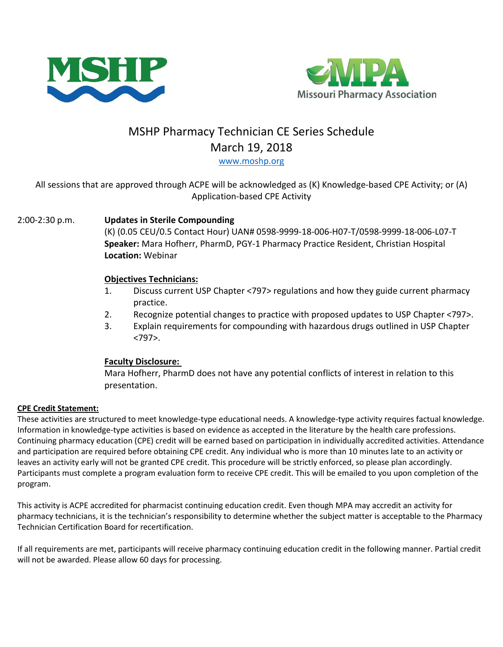



# MSHP Pharmacy Technician CE Series Schedule March 19, 2018

[www.moshp.org](http://www.moshp.org/)

## All sessions that are approved through ACPE will be acknowledged as (K) Knowledge-based CPE Activity; or (A) Application-based CPE Activity

## 2:00-2:30 p.m. **Updates in Sterile Compounding**

(K) (0.05 CEU/0.5 Contact Hour) UAN# 0598-9999-18-006-H07-T/0598-9999-18-006-L07-T **Speaker:** Mara Hofherr, PharmD, PGY-1 Pharmacy Practice Resident, Christian Hospital **Location:** Webinar

## **Objectives Technicians:**

- 1. Discuss current USP Chapter <797> regulations and how they guide current pharmacy practice.
- 2. Recognize potential changes to practice with proposed updates to USP Chapter <797>.
- 3. Explain requirements for compounding with hazardous drugs outlined in USP Chapter <797>.

## **Faculty Disclosure:**

Mara Hofherr, PharmD does not have any potential conflicts of interest in relation to this presentation.

#### **CPE Credit Statement:**

These activities are structured to meet knowledge-type educational needs. A knowledge-type activity requires factual knowledge. Information in knowledge-type activities is based on evidence as accepted in the literature by the health care professions. Continuing pharmacy education (CPE) credit will be earned based on participation in individually accredited activities. Attendance and participation are required before obtaining CPE credit. Any individual who is more than 10 minutes late to an activity or leaves an activity early will not be granted CPE credit. This procedure will be strictly enforced, so please plan accordingly. Participants must complete a program evaluation form to receive CPE credit. This will be emailed to you upon completion of the program.

This activity is ACPE accredited for pharmacist continuing education credit. Even though MPA may accredit an activity for pharmacy technicians, it is the technician's responsibility to determine whether the subject matter is acceptable to the Pharmacy Technician Certification Board for recertification.

If all requirements are met, participants will receive pharmacy continuing education credit in the following manner. Partial credit will not be awarded. Please allow 60 days for processing.